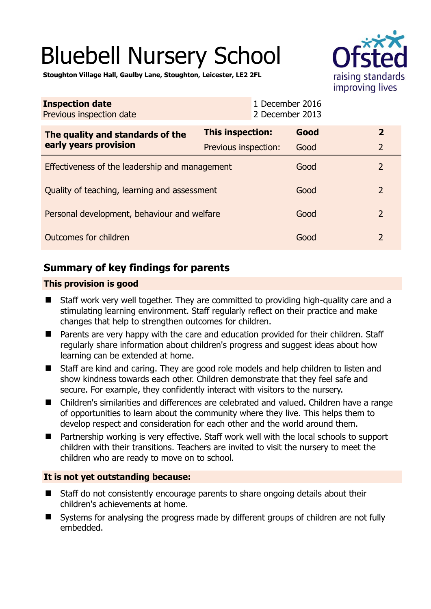# Bluebell Nursery School



**Stoughton Village Hall, Gaulby Lane, Stoughton, Leicester, LE2 2FL** 

| <b>Inspection date</b><br>Previous inspection date        | 1 December 2016<br>2 December 2013 |      |                          |
|-----------------------------------------------------------|------------------------------------|------|--------------------------|
| The quality and standards of the<br>early years provision | This inspection:                   | Good | $\overline{2}$           |
|                                                           | Previous inspection:               | Good | $\overline{2}$           |
| Effectiveness of the leadership and management            |                                    | Good | $\overline{2}$           |
| Quality of teaching, learning and assessment              |                                    | Good | $\overline{\phantom{0}}$ |
| Personal development, behaviour and welfare               |                                    | Good | $\overline{2}$           |
| Outcomes for children                                     |                                    | Good | 2                        |

# **Summary of key findings for parents**

## **This provision is good**

- Staff work very well together. They are committed to providing high-quality care and a stimulating learning environment. Staff regularly reflect on their practice and make changes that help to strengthen outcomes for children.
- Parents are very happy with the care and education provided for their children. Staff regularly share information about children's progress and suggest ideas about how learning can be extended at home.
- Staff are kind and caring. They are good role models and help children to listen and show kindness towards each other. Children demonstrate that they feel safe and secure. For example, they confidently interact with visitors to the nursery.
- Children's similarities and differences are celebrated and valued. Children have a range of opportunities to learn about the community where they live. This helps them to develop respect and consideration for each other and the world around them.
- Partnership working is very effective. Staff work well with the local schools to support children with their transitions. Teachers are invited to visit the nursery to meet the children who are ready to move on to school.

## **It is not yet outstanding because:**

- Staff do not consistently encourage parents to share ongoing details about their children's achievements at home.
- Systems for analysing the progress made by different groups of children are not fully embedded.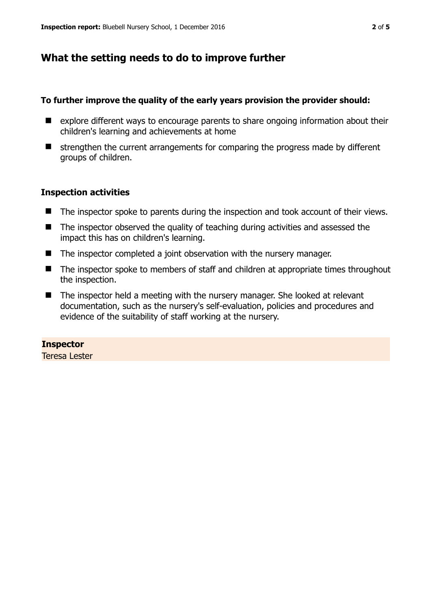## **What the setting needs to do to improve further**

#### **To further improve the quality of the early years provision the provider should:**

- explore different ways to encourage parents to share ongoing information about their children's learning and achievements at home
- $\blacksquare$  strengthen the current arrangements for comparing the progress made by different groups of children.

#### **Inspection activities**

- The inspector spoke to parents during the inspection and took account of their views.
- The inspector observed the quality of teaching during activities and assessed the impact this has on children's learning.
- The inspector completed a joint observation with the nursery manager.
- The inspector spoke to members of staff and children at appropriate times throughout the inspection.
- The inspector held a meeting with the nursery manager. She looked at relevant documentation, such as the nursery's self-evaluation, policies and procedures and evidence of the suitability of staff working at the nursery.

#### **Inspector**

Teresa Lester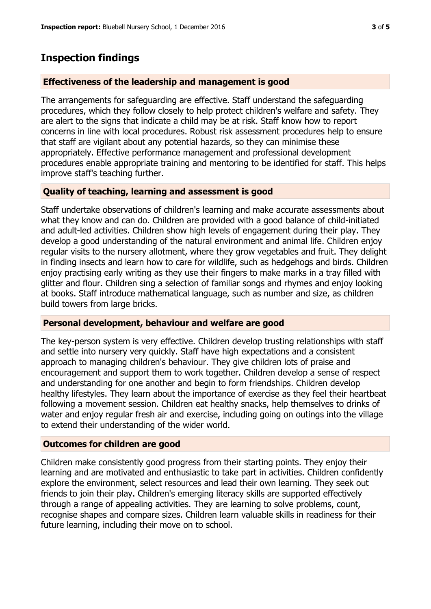## **Inspection findings**

#### **Effectiveness of the leadership and management is good**

The arrangements for safeguarding are effective. Staff understand the safeguarding procedures, which they follow closely to help protect children's welfare and safety. They are alert to the signs that indicate a child may be at risk. Staff know how to report concerns in line with local procedures. Robust risk assessment procedures help to ensure that staff are vigilant about any potential hazards, so they can minimise these appropriately. Effective performance management and professional development procedures enable appropriate training and mentoring to be identified for staff. This helps improve staff's teaching further.

## **Quality of teaching, learning and assessment is good**

Staff undertake observations of children's learning and make accurate assessments about what they know and can do. Children are provided with a good balance of child-initiated and adult-led activities. Children show high levels of engagement during their play. They develop a good understanding of the natural environment and animal life. Children enjoy regular visits to the nursery allotment, where they grow vegetables and fruit. They delight in finding insects and learn how to care for wildlife, such as hedgehogs and birds. Children enjoy practising early writing as they use their fingers to make marks in a tray filled with glitter and flour. Children sing a selection of familiar songs and rhymes and enjoy looking at books. Staff introduce mathematical language, such as number and size, as children build towers from large bricks.

#### **Personal development, behaviour and welfare are good**

The key-person system is very effective. Children develop trusting relationships with staff and settle into nursery very quickly. Staff have high expectations and a consistent approach to managing children's behaviour. They give children lots of praise and encouragement and support them to work together. Children develop a sense of respect and understanding for one another and begin to form friendships. Children develop healthy lifestyles. They learn about the importance of exercise as they feel their heartbeat following a movement session. Children eat healthy snacks, help themselves to drinks of water and enjoy regular fresh air and exercise, including going on outings into the village to extend their understanding of the wider world.

#### **Outcomes for children are good**

Children make consistently good progress from their starting points. They enjoy their learning and are motivated and enthusiastic to take part in activities. Children confidently explore the environment, select resources and lead their own learning. They seek out friends to join their play. Children's emerging literacy skills are supported effectively through a range of appealing activities. They are learning to solve problems, count, recognise shapes and compare sizes. Children learn valuable skills in readiness for their future learning, including their move on to school.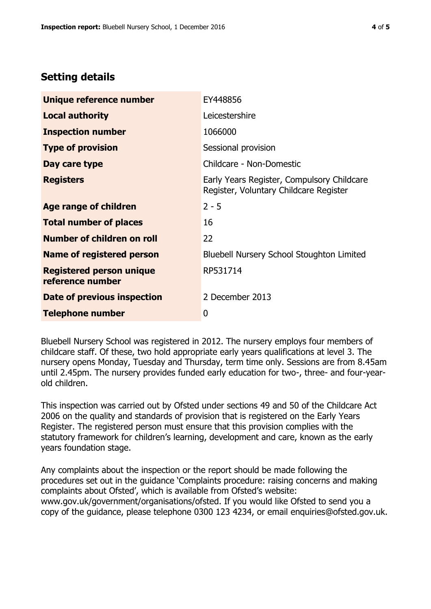# **Setting details**

| Unique reference number                             | EY448856                                                                             |
|-----------------------------------------------------|--------------------------------------------------------------------------------------|
| <b>Local authority</b>                              | Leicestershire                                                                       |
| <b>Inspection number</b>                            | 1066000                                                                              |
| <b>Type of provision</b>                            | Sessional provision                                                                  |
| Day care type                                       | Childcare - Non-Domestic                                                             |
| <b>Registers</b>                                    | Early Years Register, Compulsory Childcare<br>Register, Voluntary Childcare Register |
| Age range of children                               | $2 - 5$                                                                              |
| <b>Total number of places</b>                       | 16                                                                                   |
| Number of children on roll                          | 22                                                                                   |
| Name of registered person                           | <b>Bluebell Nursery School Stoughton Limited</b>                                     |
| <b>Registered person unique</b><br>reference number | RP531714                                                                             |
| Date of previous inspection                         | 2 December 2013                                                                      |
| <b>Telephone number</b>                             | 0                                                                                    |

Bluebell Nursery School was registered in 2012. The nursery employs four members of childcare staff. Of these, two hold appropriate early years qualifications at level 3. The nursery opens Monday, Tuesday and Thursday, term time only. Sessions are from 8.45am until 2.45pm. The nursery provides funded early education for two-, three- and four-yearold children.

This inspection was carried out by Ofsted under sections 49 and 50 of the Childcare Act 2006 on the quality and standards of provision that is registered on the Early Years Register. The registered person must ensure that this provision complies with the statutory framework for children's learning, development and care, known as the early years foundation stage.

Any complaints about the inspection or the report should be made following the procedures set out in the guidance 'Complaints procedure: raising concerns and making complaints about Ofsted', which is available from Ofsted's website: www.gov.uk/government/organisations/ofsted. If you would like Ofsted to send you a copy of the guidance, please telephone 0300 123 4234, or email enquiries@ofsted.gov.uk.